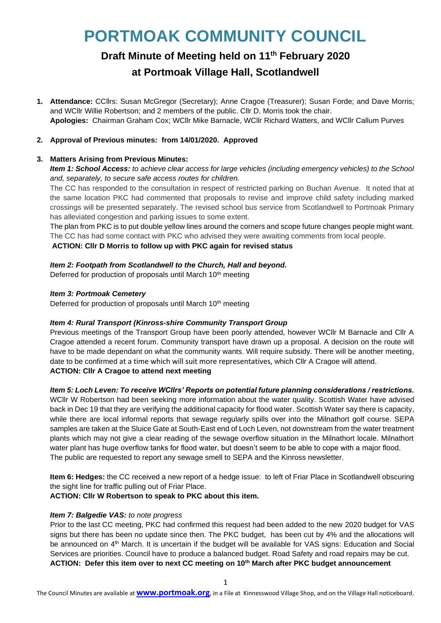# **PORTMOAK COMMUNITY COUNCIL**

# **Draft Minute of Meeting held on 11 th February 2020**

# **at Portmoak Village Hall, Scotlandwell**

**1. Attendance:** CCllrs: Susan McGregor (Secretary); Anne Cragoe (Treasurer); Susan Forde; and Dave Morris; and WCllr Willie Robertson; and 2 members of the public. Cllr D. Morris took the chair. **Apologies:** Chairman Graham Cox; WCllr Mike Barnacle, WCllr Richard Watters, and WCllr Callum Purves

# **2. Approval of Previous minutes: from 14/01/2020. Approved**

# **3. Matters Arising from Previous Minutes:**

*Item 1: School Access: to achieve clear access for large vehicles (including emergency vehicles) to the School and, separately, to secure safe access routes for children.* 

The CC has responded to the consultation in respect of restricted parking on Buchan Avenue. It noted that at the same location PKC had commented that proposals to revise and improve child safety including marked crossings will be presented separately. The revised school bus service from Scotlandwell to Portmoak Primary has alleviated congestion and parking issues to some extent.

The plan from PKC is to put double yellow lines around the corners and scope future changes people might want. The CC has had some contact with PKC who advised they were awaiting comments from local people.

**ACTION: Cllr D Morris to follow up with PKC again for revised status**

# *Item 2: Footpath from Scotlandwell to the Church, Hall and beyond.*

Deferred for production of proposals until March 10<sup>th</sup> meeting

#### *Item 3: Portmoak Cemetery*

Deferred for production of proposals until March 10<sup>th</sup> meeting

# *Item 4: Rural Transport (Kinross-shire Community Transport Group*

Previous meetings of the Transport Group have been poorly attended, however WCllr M Barnacle and Cllr A Cragoe attended a recent forum. Community transport have drawn up a proposal. A decision on the route will have to be made dependant on what the community wants. Will require subsidy. There will be another meeting, date to be confirmed at a time which will suit more representatives, which Cllr A Cragoe will attend. **ACTION: Cllr A Cragoe to attend next meeting**

#### *Item 5: Loch Leven: To receive WCllrs' Reports on potential future planning considerations / restrictions.*

WCllr W Robertson had been seeking more information about the water quality. Scottish Water have advised back in Dec 19 that they are verifying the additional capacity for flood water. Scottish Water say there is capacity, while there are local informal reports that sewage regularly spills over into the Milnathort golf course. SEPA samples are taken at the Sluice Gate at South-East end of Loch Leven, not downstream from the water treatment plants which may not give a clear reading of the sewage overflow situation in the Milnathort locale. Milnathort water plant has huge overflow tanks for flood water, but doesn't seem to be able to cope with a major flood. The public are requested to report any sewage smell to SEPA and the Kinross newsletter.

**Item 6: Hedges:** the CC received a new report of a hedge issue: to left of Friar Place in Scotlandwell obscuring the sight line for traffic pulling out of Friar Place.

#### **ACTION: Cllr W Robertson to speak to PKC about this item.**

# *Item 7: Balgedie VAS: to note progress*

Prior to the last CC meeting, PKC had confirmed this request had been added to the new 2020 budget for VAS signs but there has been no update since then. The PKC budget, has been cut by 4% and the allocations will be announced on 4<sup>th</sup> March. It is uncertain if the budget will be available for VAS signs: Education and Social Services are priorities. Council have to produce a balanced budget. Road Safety and road repairs may be cut. **ACTION: Defer this item over to next CC meeting on 10th March after PKC budget announcement**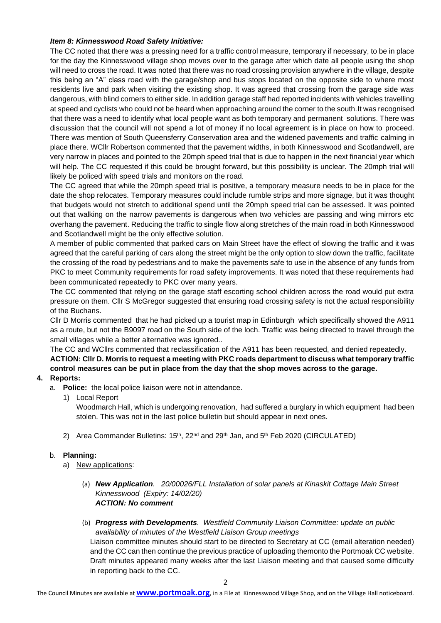#### *Item 8: Kinnesswood Road Safety Initiative:*

The CC noted that there was a pressing need for a traffic control measure, temporary if necessary, to be in place for the day the Kinnesswood village shop moves over to the garage after which date all people using the shop will need to cross the road. It was noted that there was no road crossing provision anywhere in the village, despite this being an "A" class road with the garage/shop and bus stops located on the opposite side to where most residents live and park when visiting the existing shop. It was agreed that crossing from the garage side was dangerous, with blind corners to either side. In addition garage staff had reported incidents with vehicles travelling at speed and cyclists who could not be heard when approaching around the corner to the south.It was recognised that there was a need to identify what local people want as both temporary and permanent solutions. There was discussion that the council will not spend a lot of money if no local agreement is in place on how to proceed. There was mention of South Queensferry Conservation area and the widened pavements and traffic calming in place there. WCllr Robertson commented that the pavement widths, in both Kinnesswood and Scotlandwell, are very narrow in places and pointed to the 20mph speed trial that is due to happen in the next financial year which will help. The CC requested if this could be brought forward, but this possibility is unclear. The 20mph trial will likely be policed with speed trials and monitors on the road.

The CC agreed that while the 20mph speed trial is positive, a temporary measure needs to be in place for the date the shop relocates. Temporary measures could include rumble strips and more signage, but it was thought that budgets would not stretch to additional spend until the 20mph speed trial can be assessed. It was pointed out that walking on the narrow pavements is dangerous when two vehicles are passing and wing mirrors etc overhang the pavement. Reducing the traffic to single flow along stretches of the main road in both Kinnesswood and Scotlandwell might be the only effective solution.

A member of public commented that parked cars on Main Street have the effect of slowing the traffic and it was agreed that the careful parking of cars along the street might be the only option to slow down the traffic, facilitate the crossing of the road by pedestrians and to make the pavements safe to use in the absence of any funds from PKC to meet Community requirements for road safety improvements. It was noted that these requirements had been communicated repeatedly to PKC over many years.

The CC commented that relying on the garage staff escorting school children across the road would put extra pressure on them. Cllr S McGregor suggested that ensuring road crossing safety is not the actual responsibility of the Buchans.

Cllr D Morris commented that he had picked up a tourist map in Edinburgh which specifically showed the A911 as a route, but not the B9097 road on the South side of the loch. Traffic was being directed to travel through the small villages while a better alternative was ignored..

The CC and WCllrs commented that reclassification of the A911 has been requested, and denied repeatedly. **ACTION: Cllr D. Morris to request a meeting with PKC roads department to discuss what temporary traffic control measures can be put in place from the day that the shop moves across to the garage.**

# **4. Reports:**

- a. **Police:** the local police liaison were not in attendance.
	- 1) Local Report

Woodmarch Hall, which is undergoing renovation, had suffered a burglary in which equipment had been stolen. This was not in the last police bulletin but should appear in next ones.

2) Area Commander Bulletins:  $15<sup>th</sup>$ ,  $22<sup>nd</sup>$  and  $29<sup>th</sup>$  Jan, and  $5<sup>th</sup>$  Feb 2020 (CIRCULATED)

#### b. **Planning:**

- a) New applications:
	- (a) *New Application. 20/00026/FLL Installation of solar panels at Kinaskit Cottage Main Street Kinnesswood (Expiry: 14/02/20) ACTION: No comment*
	- (b) *Progress with Developments. Westfield Community Liaison Committee: update on public availability of minutes of the Westfield Liaison Group meetings*

Liaison committee minutes should start to be directed to Secretary at CC (email alteration needed) and the CC can then continue the previous practice of uploading themonto the Portmoak CC website. Draft minutes appeared many weeks after the last Liaison meeting and that caused some difficulty in reporting back to the CC.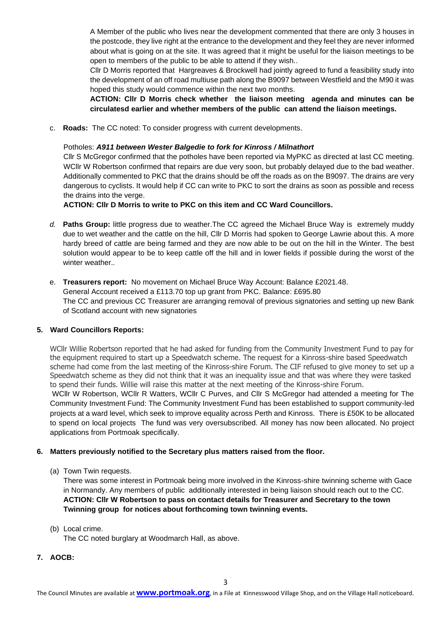A Member of the public who lives near the development commented that there are only 3 houses in the postcode, they live right at the entrance to the development and they feel they are never informed about what is going on at the site. It was agreed that it might be useful for the liaison meetings to be open to members of the public to be able to attend if they wish..

Cllr D Morris reported that Hargreaves & Brockwell had jointly agreed to fund a feasibility study into the development of an off road multiuse path along the B9097 between Westfield and the M90 it was hoped this study would commence within the next two months.

**ACTION: Cllr D Morris check whether the liaison meeting agenda and minutes can be circulatesd earlier and whether members of the public can attend the liaison meetings.** 

c. **Roads:** The CC noted: To consider progress with current developments.

#### Potholes: *A911 between Wester Balgedie to fork for Kinross / Milnathort*

Cllr S McGregor confirmed that the potholes have been reported via MyPKC as directed at last CC meeting. WCllr W Robertson confirmed that repairs are due very soon, but probably delayed due to the bad weather. Additionally commented to PKC that the drains should be off the roads as on the B9097. The drains are very dangerous to cyclists. It would help if CC can write to PKC to sort the drains as soon as possible and recess the drains into the verge.

**ACTION: Cllr D Morris to write to PKC on this item and CC Ward Councillors.**

- *d.* **Paths Group:** little progress due to weather.The CC agreed the Michael Bruce Way is extremely muddy due to wet weather and the cattle on the hill, Cllr D Morris had spoken to George Lawrie about this. A more hardy breed of cattle are being farmed and they are now able to be out on the hill in the Winter. The best solution would appear to be to keep cattle off the hill and in lower fields if possible during the worst of the winter weather.*.*
- e. **Treasurers report:** No movement on Michael Bruce Way Account: Balance £2021.48. General Account received a £113.70 top up grant from PKC. Balance: £695.80 The CC and previous CC Treasurer are arranging removal of previous signatories and setting up new Bank of Scotland account with new signatories

#### **5. Ward Councillors Reports:**

WCllr Willie Robertson reported that he had asked for funding from the Community Investment Fund to pay for the equipment required to start up a Speedwatch scheme. The request for a Kinross-shire based Speedwatch scheme had come from the last meeting of the Kinross-shire Forum. The CIF refused to give money to set up a Speedwatch scheme as they did not think that it was an inequality issue and that was where they were tasked to spend their funds. Willie will raise this matter at the next meeting of the Kinross-shire Forum.

WCllr W Robertson, WCllr R Watters, WCllr C Purves, and Cllr S McGregor had attended a meeting for The Community Investment Fund: The Community Investment Fund has been established to support community-led projects at a ward level, which seek to improve equality across Perth and Kinross. There is £50K to be allocated to spend on local projects The fund was very oversubscribed. All money has now been allocated. No project applications from Portmoak specifically.

#### **6. Matters previously notified to the Secretary plus matters raised from the floor.**

(a) Town Twin requests.

There was some interest in Portmoak being more involved in the Kinross-shire twinning scheme with Gace in Normandy. Any members of public additionally interested in being liaison should reach out to the CC. **ACTION: Cllr W Robertson to pass on contact details for Treasurer and Secretary to the town Twinning group for notices about forthcoming town twinning events.**

(b) Local crime.

The CC noted burglary at Woodmarch Hall, as above.

**7. AOCB:**